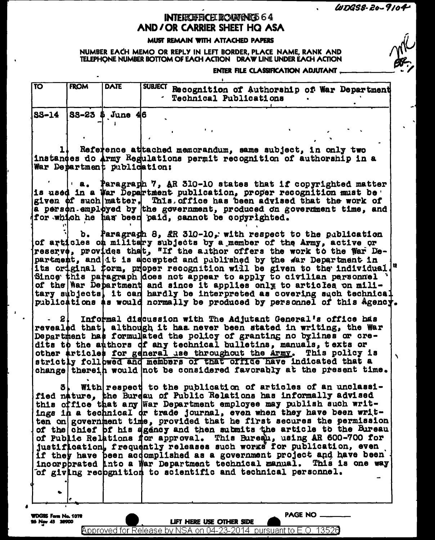$WDSS-20-9104$ 

## **INTERCHERCE DOUNGNED 64** AND/OR CARRIER SHEET HQ ASA

## MUST REMAIN WITH ATTACHED PAPERS

NUMBER EACH MEMO OR REPLY IN LEFT BORDER, PLACE NAME, RANK AND TELEPHONE NUMBER BOTTOM OF EACH ACTION DRAW LINE UNDER EACH ACTION

## ENTER FILE CLASSIFICATION ADJUTANT

| ΓΤΟ    | <b>FROM</b> | <b>DATE</b>                 | SUBJECT Recognition of Authorship of War Department<br><b>Technical Publications</b>                                                            |
|--------|-------------|-----------------------------|-------------------------------------------------------------------------------------------------------------------------------------------------|
| lss-14 |             | $8S-23$ \$ June 46          |                                                                                                                                                 |
|        |             |                             |                                                                                                                                                 |
|        |             |                             | t in                                                                                                                                            |
| L      |             |                             |                                                                                                                                                 |
|        |             |                             | Reference attached memorandum, same subject, in only two<br>instances do Army Regulations permit recognition of authorship in a                 |
|        |             | War Department publication: |                                                                                                                                                 |
|        |             |                             |                                                                                                                                                 |
|        |             |                             | $\blacksquare$ a. Paragraph 7, AR 310-10 states that if copyrighted matter                                                                      |
|        |             |                             | is used in a War Department publication, proper recognition must be                                                                             |
|        |             |                             | given of such matter. This office has been advised that the work of                                                                             |
|        |             |                             | a person employed by the government, produced on government time, and<br>for which he has been paid, cannot be congrighted.                     |
|        |             |                             |                                                                                                                                                 |
|        |             |                             | b. Paragragh 8, AR 310-10, with respect to the publication                                                                                      |
|        |             |                             | of articles on military subjects by a member of the Army, active or                                                                             |
|        |             |                             | reserve, provides thet, "If the author offers the work to the War De-                                                                           |
|        |             |                             | partment, and it is a cospted and published by the far Department in                                                                            |
|        |             |                             | its original form, proper recognition will be given to the individual.<br>Since this paragraph does not appear to apply to civilian personnel ' |
|        |             |                             | of the War Department and since it applies only to articles on mili-                                                                            |
|        |             |                             | tary subjects] it can hardly be interpreted as covering such technical                                                                          |
|        |             |                             | publications as would normally be produced by personnel of this Agency.                                                                         |
|        |             |                             |                                                                                                                                                 |
|        |             |                             | Informal discussion with The Adjutant General's office has                                                                                      |
|        |             |                             | revealed that, although it has never been stated in writing, the War                                                                            |
|        |             |                             | Department has formulated the policy of granting no bylines or cre-<br>dits to the authors of any technical bulletins, manuals, texts or        |
|        |             |                             | other articles for general use throughout the Army.<br>This policy is                                                                           |
|        |             |                             | strictly followed and members of that office have indicated that a                                                                              |
|        |             |                             | change therein would not be considered favorably at the present time.                                                                           |
|        |             |                             |                                                                                                                                                 |
|        | 3 L         |                             | With respect to the publication of articles of an unclassi-                                                                                     |
|        |             |                             | fied nature, the Burdau of Public Relations has informally advised                                                                              |
|        |             |                             | this office that any war Department employee may publish such writ-                                                                             |
|        |             |                             | ings in a technical or trade journal, even when they have been writ-<br>ten on government time, provided that he first secures the permission   |
|        |             |                             | of the chief of his agency and then submits the article to the Bureau.                                                                          |
|        |             |                             | of Public Relations for approval. This Bureau, using AR 600-700 for                                                                             |
|        |             |                             | justification, frequently releases such works for publication, even                                                                             |
|        |             |                             | if they have been accomplished as a government project and have been                                                                            |
|        |             |                             | incorphrated into a War Department technical manual. This is one way                                                                            |
|        |             |                             | of giving recognition to scientific and technical personnel.                                                                                    |
|        |             |                             |                                                                                                                                                 |
|        |             |                             |                                                                                                                                                 |
|        |             |                             |                                                                                                                                                 |

Approved for Release by NSA on 04-23-2014 pursuant to E.O. 13520

 $\blacksquare$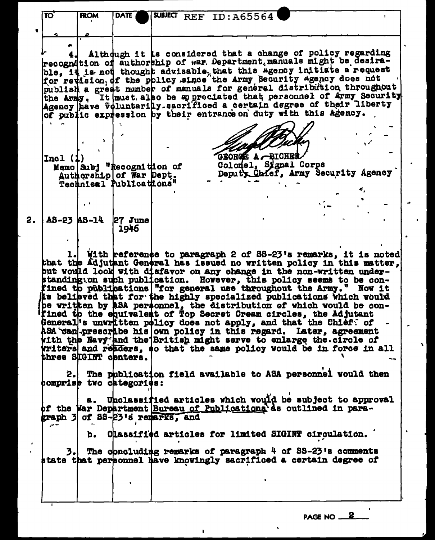|    | ΤΟ        | <b>FROM</b> | <b>DATE</b>                                                                                                                                                                                                                                                                                                                                                                                                                                                                                                                                                                                                                                                                                                                                                                                                                                                                                                                                                                                                                                                                  |  | SUBJECT REF ID: A65564 |                                           |  |  |  |
|----|-----------|-------------|------------------------------------------------------------------------------------------------------------------------------------------------------------------------------------------------------------------------------------------------------------------------------------------------------------------------------------------------------------------------------------------------------------------------------------------------------------------------------------------------------------------------------------------------------------------------------------------------------------------------------------------------------------------------------------------------------------------------------------------------------------------------------------------------------------------------------------------------------------------------------------------------------------------------------------------------------------------------------------------------------------------------------------------------------------------------------|--|------------------------|-------------------------------------------|--|--|--|
|    |           |             |                                                                                                                                                                                                                                                                                                                                                                                                                                                                                                                                                                                                                                                                                                                                                                                                                                                                                                                                                                                                                                                                              |  |                        |                                           |  |  |  |
|    |           |             |                                                                                                                                                                                                                                                                                                                                                                                                                                                                                                                                                                                                                                                                                                                                                                                                                                                                                                                                                                                                                                                                              |  |                        |                                           |  |  |  |
|    |           |             | Although it is considered that a change of policy regarding<br>recognition of authorship of war. Department manuals might be desira-                                                                                                                                                                                                                                                                                                                                                                                                                                                                                                                                                                                                                                                                                                                                                                                                                                                                                                                                         |  |                        |                                           |  |  |  |
|    |           |             | ble. it is not thought advisable that this agency initiate a request                                                                                                                                                                                                                                                                                                                                                                                                                                                                                                                                                                                                                                                                                                                                                                                                                                                                                                                                                                                                         |  |                        |                                           |  |  |  |
|    |           |             | for revision of the policy since the Army Security Agency does not<br>publish a great number of manuals for general distribution throughout                                                                                                                                                                                                                                                                                                                                                                                                                                                                                                                                                                                                                                                                                                                                                                                                                                                                                                                                  |  |                        |                                           |  |  |  |
|    |           |             | the Army, It must also be appreciated that personnel of Army Security                                                                                                                                                                                                                                                                                                                                                                                                                                                                                                                                                                                                                                                                                                                                                                                                                                                                                                                                                                                                        |  |                        |                                           |  |  |  |
|    |           |             | Agency have voluntarilly sacrificed a certain degree of their liberty<br>of public expression by their entrance on duty with this Agency.                                                                                                                                                                                                                                                                                                                                                                                                                                                                                                                                                                                                                                                                                                                                                                                                                                                                                                                                    |  |                        |                                           |  |  |  |
|    |           |             |                                                                                                                                                                                                                                                                                                                                                                                                                                                                                                                                                                                                                                                                                                                                                                                                                                                                                                                                                                                                                                                                              |  |                        |                                           |  |  |  |
|    |           |             |                                                                                                                                                                                                                                                                                                                                                                                                                                                                                                                                                                                                                                                                                                                                                                                                                                                                                                                                                                                                                                                                              |  |                        |                                           |  |  |  |
|    |           |             |                                                                                                                                                                                                                                                                                                                                                                                                                                                                                                                                                                                                                                                                                                                                                                                                                                                                                                                                                                                                                                                                              |  |                        |                                           |  |  |  |
|    | Incl(1)   |             | Memo Subj "Recognition of                                                                                                                                                                                                                                                                                                                                                                                                                                                                                                                                                                                                                                                                                                                                                                                                                                                                                                                                                                                                                                                    |  |                        | GEORGE A -BICHEI<br>Colonel, Signal Corps |  |  |  |
|    |           |             | Authorship of War Dept.                                                                                                                                                                                                                                                                                                                                                                                                                                                                                                                                                                                                                                                                                                                                                                                                                                                                                                                                                                                                                                                      |  |                        | Deputy Chief, Army Security Agency        |  |  |  |
|    |           |             | Technical Publications"                                                                                                                                                                                                                                                                                                                                                                                                                                                                                                                                                                                                                                                                                                                                                                                                                                                                                                                                                                                                                                                      |  |                        |                                           |  |  |  |
|    |           |             |                                                                                                                                                                                                                                                                                                                                                                                                                                                                                                                                                                                                                                                                                                                                                                                                                                                                                                                                                                                                                                                                              |  |                        |                                           |  |  |  |
| 2. |           |             | AS-23   AS-14   27 June                                                                                                                                                                                                                                                                                                                                                                                                                                                                                                                                                                                                                                                                                                                                                                                                                                                                                                                                                                                                                                                      |  |                        |                                           |  |  |  |
|    |           |             | 1946                                                                                                                                                                                                                                                                                                                                                                                                                                                                                                                                                                                                                                                                                                                                                                                                                                                                                                                                                                                                                                                                         |  |                        |                                           |  |  |  |
|    |           |             |                                                                                                                                                                                                                                                                                                                                                                                                                                                                                                                                                                                                                                                                                                                                                                                                                                                                                                                                                                                                                                                                              |  |                        |                                           |  |  |  |
|    | l.<br>2.I |             | With reference to paragraph 2 of SS-23's remarks, it is noted<br>that the Adjutant General has issued no written policy in this matter,<br>but would look with disfavor on any change in the non-written under-<br>standing on such publication. However, this policy seems to be con-<br>fined to publications   "for general use throughout the Army." Now it<br>is belipved that for the highly specialized publications which would<br>be written by ASA personnel, the distribution of which would be con-<br>fined to the equivalent of Top Secret Cream circles, the Adjutant<br>General <sup>'s</sup> unvritten policy does not apply, and that the Chieff of<br>ASA can prescribe his own policy in this regard. Later, agreement<br>with the Navy and the British might serve to enlarge the circle of<br>writers and readers, so that the same policy would be in force in all<br>three SIGINT centers.<br>The publication field available to ASA personnel would then<br>comprise two categories:<br>a. Unclassified articles which would be subject to approval |  |                        |                                           |  |  |  |
|    | المواري   |             | of the War Department Bureau of Publications as outlined in para-<br>graph 3 of SS-23's remarks, and<br>b. Chassified articles for limited SIGINT circulation.                                                                                                                                                                                                                                                                                                                                                                                                                                                                                                                                                                                                                                                                                                                                                                                                                                                                                                               |  |                        |                                           |  |  |  |
|    |           |             |                                                                                                                                                                                                                                                                                                                                                                                                                                                                                                                                                                                                                                                                                                                                                                                                                                                                                                                                                                                                                                                                              |  |                        |                                           |  |  |  |
|    | 3.I       |             | The concluding remarks of paragraph 4 of SS-23's comments<br>state that personnel have knowingly sacrificed a certain degree of                                                                                                                                                                                                                                                                                                                                                                                                                                                                                                                                                                                                                                                                                                                                                                                                                                                                                                                                              |  |                        |                                           |  |  |  |

PAGE NO 2

Ŷ.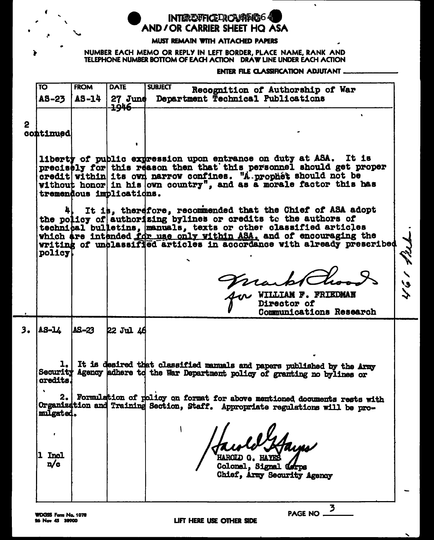**INTEREXFICEDROMOTOGG** AND / OR CARRIER SHEET HO ASA

## **MUST REMAIN WITH ATTACHED PAPERS**

NUMBER EACH MEMO OR REPLY IN LEFT BORDER, PLACE NAME, RANK AND TELEPHONE NUMBER BOTTOM OF EACH ACTION DRAW LINE UNDER EACH ACTION

**ENTER FILE CLASSIFICATION ADJUTANT.** 

|   | TO               | <b>FROM</b> | <b>DATE</b><br>  AS-23   AS-14   27 June<br>אומר | <b>SUBJECT</b><br>Recognition of Authorship of War<br>Department Technical Publications |  |
|---|------------------|-------------|--------------------------------------------------|-----------------------------------------------------------------------------------------|--|
|   |                  |             | ॸॹॼ                                              |                                                                                         |  |
| 2 | <b>continued</b> |             |                                                  | -                                                                                       |  |

liberty of public expression upon entrance on duty at ASA. It is precisely for this reason then that this personnel should get proper credit within its own narrow confines. "A prophet should not be without honor in his own country", and as a morale factor this has tremendous implications.

It is, therefore, recommended that the Chief of ASA adopt the policy of authorizing bylines or credits to the authors of technical bulletins, manuals, texts or other classified articles which are intended for use only within ASA, and of encouraging the writing of unclassified articles in accordance with already prescribed policy

WILLIAM F. FRIEDMAN Director of Communications Research

3

PAGE NO.

بران استحملت

 $3.$  $A3 - L$  $\Delta S - 23$ 22 Jul 46

> 1. It is desired that classified manuals and papers published by the condity Agency adhere to the War Department policy of granting no bylines or It is desired that classified manuals and papers published by the Army

2. Formulation of policy on format for above mentioned documents rests with Organization and Training Section, Staff. Appropriate regulations will be promulgated.

**1** Incl  $n/c$ 

HAROTJ) G.

Colonel. Signal (orps Chief, Army Security Agency

LIFT HERE USE OTHER SIDE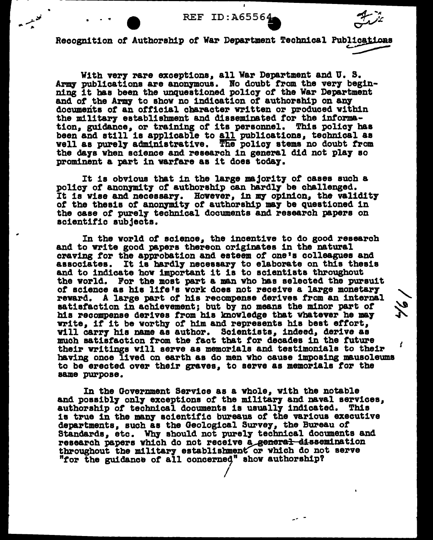ï



 $\frac{2}{\sqrt{2}}$ 

ſ.

Recognition of Authorship of War Department Technical Publications

With very rare exceptions, all War Department and U.S. Army publications are anonymous. No doubt from the very beginning it has been the unquestioned policy of the War Department and of the Army to show no indication of authorship on any documents of an official character written or produced within the military establishment and disseminated for the information, guidance, or training of its personnel. This policy has been and still is applicable to all publications, technical as well as purely administrative. The policy stems no doubt from the days when science and research in general did not play so prominent a part in warfare as it does today.

It is obvious that in the large majority of cases such a policy of anonymity of authorship can hardly be challenged. It is vise and necessary. However, in my opinion, the validity of the thesis of anonymity of authorship may be questioned in the case of purely technical documents and research papers on scientific subjects.

In the world of science, the incentive to do good research and to write good papers thereon originates in the natural craving for the approbation and esteem of one's colleagues and associates. It is hardly necessary to elaborate on this thesis and to indicate how important it is to scientists throughout the world. For the most part a man who has selected the pursuit of science as his life's work does not receive a large monetary reward. A large part of his recompense derives from an internal satisfaction in achievement; but by no means the minor part of his recompense derives from his knowledge that whatever he may write, if it be worthy of him and represents his best effort, vill carry his name as author. Scientists, indeed, derive as much satisfaction from the fact that for decades in the future their writings will serve as memorials and testimonials to their having once lived on earth as do men who cause imposing mausoleums to be erected over their graves, to serve as memorials for the same purpose.

In the Government Service as a whole, with the notable and possibly only exceptions of the military and naval services, authorship of technical documents is usually indicated. This is true in the many scientific bureaus of the various executive departments, such as the Geological Survey, the Bureau of Standards, etc. Why should not purely technical documents and research papers which do not receive a general dissemination throughout the military establishment or which do not serve "for the guidance of all concerned" show authorship?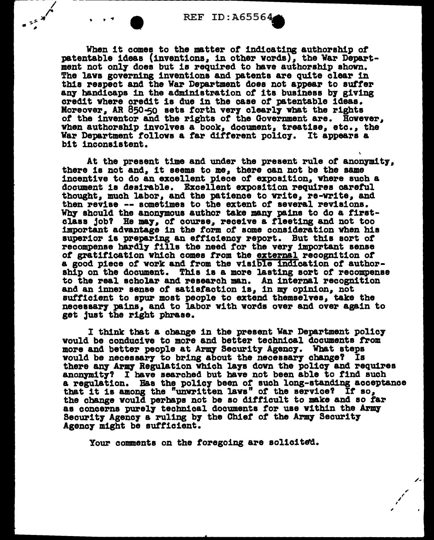$\begin{array}{c}\n\bullet & \stackrel{\circ}{\circ} & \stackrel{\circ}{\circ} \\
\bullet & \stackrel{\circ}{\circ} & \stackrel{\circ}{\circ}\n\end{array}$ 

• • 1 • REF ID: A65564<br>When it comes to the matter of indicating authorship of patentable ideas (inventions, ln other words), the War Department not onl7 does but is required to have authorship shown. The laws governing inventions and patents are quite clear in this respect and the War Department does not appear to suffer any handicaps in the administration of its business by giving credit where credit is due in the case of patentable ideas. Moreover, AR  $850 - 50$  sets forth very clearly what the rights *ot* the inventor and the rights of' the Government are. However, when authorship involves a book, document, treatise, etc., the War Department follows a far different policy. It appears a bit inconsistent.

At the present time and under the present rule of anonymity, there is not and, it seems to me, there can not be the same incentive to do an excellent piece of exposition, Where such a document is desirable. Excellent exposition requires careful thought, much labor, and the patience to vrlte, re-vrite, and then revise -- sometimes to the extent of several revisions. Why should the anonymous author take many pains to do a firstclass job? He may, of course, receive a fleeting and not too important advantage in the form *ot* some consideration vhen his superior is preparing an efficiency report. But this sort of recompense hardly fills the need for the very important sense of gratification which comes from the external recognition of a good piece of work and from the visible indication of authorship on the document. This is a more lasting sort of recompense to the real scholar and research man. An internal recognition and an inner sense of satisfaction is, in my opinion, not sufficient to spur most people to extend themselves, take the necessary pains, and to labor with words over and over again to get just the right phrase.

I think tbat a cbange in the present War Department pol1c7 would be conducive to more and better technical documents from more and better people at Army Security Agency. What steps would be necessary to bring about the necessary change? Is<br>there any Army Regulation which lays down the policy and requires anonymity? I have searched but have not been able to find such a regulation. Has the policy been of such long-standing acceptance that it is among the "unwritten laws" of the service? If so, the change would perbaps not be so difficult to make and so far as concerns purely technical documents for use within the Army Becurity Agency a ruling by the Chief of the Army Security Agency might be sufficient.

' ,

 $\mathcal{L}$ ,/

j.

Your comments on the foregoing are solicited.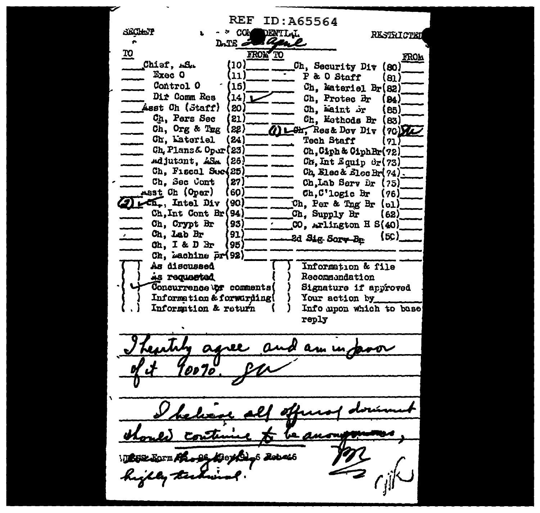ID:A65564 REF **SECHE'P** DENTILL - COM **RESTRICTET** Date a **TO** FROM TO **FROM** Chisf, AS. (10) Ch. Security Div (80) Exec O P & O Staff 11 ່ອາີ Control O (15) Ch. Materiel Br(82) Dir Comm Res 14 Ch. Protec Br 84. Asst Ch (Staff) 20 Ch, maint br 85. Ch. Pers Sec 21) Ch, Esthods Br ( 83) Ch, Org & Tug  $221$ 1) LOI Res& Dov Div (70) The Ch, Lateriel 24 Tech Staff  $\mathbf{21}$ Ch. Plans& Oper(23) Ch. Ciph & Ciph Br(72) Adjutant, ASA 26)  $Cr, Int$  Squip  $0r(73)$ Ch. Fiscal See(25) Ch. Elec & Elec Br( $74$ ). Ch, Sec Cont 27 Ch, Lab Serv Dr 【75】 Asst Ch (Oper) (60 Ch.C'logic Br  $(76)$ 1 pch, Intel Div (90) Ch. Per & Thg Br (ol) Ch. Int Cont Br (94) Ch. Supply Br (62) Ch, Crypt Br 93 CO. Arlington H S(40) Ch. Lab Br '91.  $(5c)$ 2d Sig Sorv-Be  $Ch. I & D Br$ (95) Ch, machine pr(92) Information & file As discussed As requested Recommondation Concurrence by comments Signature if anoroved Information & forwarding Your action by Information & return Info upon which to base reply y am **Kierka** 6 **Rebe**th